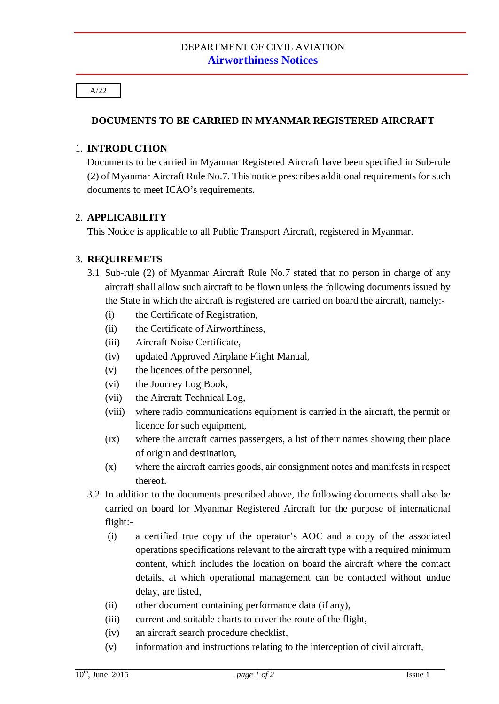#### A/22

## **DOCUMENTS TO BE CARRIED IN MYANMAR REGISTERED AIRCRAFT**

#### 1. **INTRODUCTION**

Documents to be carried in Myanmar Registered Aircraft have been specified in Sub-rule (2) of Myanmar Aircraft Rule No.7. This notice prescribes additional requirements for such documents to meet ICAO's requirements.

#### 2. **APPLICABILITY**

This Notice is applicable to all Public Transport Aircraft, registered in Myanmar.

## 3. **REQUIREMETS**

- 3.1 Sub-rule (2) of Myanmar Aircraft Rule No.7 stated that no person in charge of any aircraft shall allow such aircraft to be flown unless the following documents issued by the State in which the aircraft is registered are carried on board the aircraft, namely:-
	- (i) the Certificate of Registration,
	- (ii) the Certificate of Airworthiness,
	- (iii) Aircraft Noise Certificate,
	- (iv) updated Approved Airplane Flight Manual,
	- (v) the licences of the personnel,
	- (vi) the Journey Log Book,
	- (vii) the Aircraft Technical Log,
	- (viii) where radio communications equipment is carried in the aircraft, the permit or licence for such equipment,
	- (ix) where the aircraft carries passengers, a list of their names showing their place of origin and destination,
	- (x) where the aircraft carries goods, air consignment notes and manifests in respect thereof.
- 3.2 In addition to the documents prescribed above, the following documents shall also be carried on board for Myanmar Registered Aircraft for the purpose of international flight:-
	- (i) a certified true copy of the operator's AOC and a copy of the associated operations specifications relevant to the aircraft type with a required minimum content, which includes the location on board the aircraft where the contact details, at which operational management can be contacted without undue delay, are listed,
	- (ii) other document containing performance data (if any),
	- (iii) current and suitable charts to cover the route of the flight,
	- (iv) an aircraft search procedure checklist,
	- (v) information and instructions relating to the interception of civil aircraft,